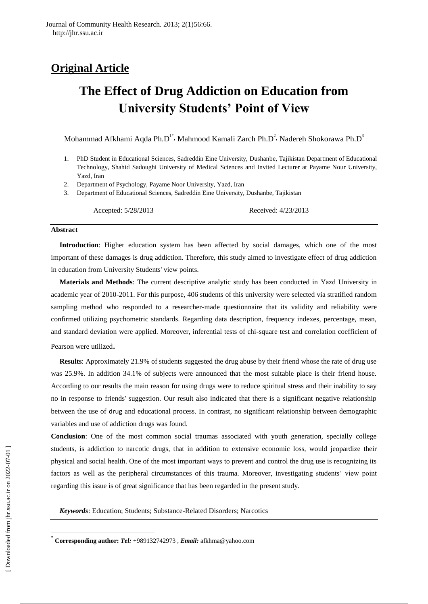# **Original Article**

# **The Effect of Drug Addiction on Education from University Students' Point of View**

Mohammad Afkhami Aqda Ph.D<sup>1\*</sup>, Mahmood Kamali Zarch Ph.D<sup>2</sup>, Nadereh Shokorawa Ph.D<sup>3</sup>

- 1. PhD Student in Educational Sciences, Sadreddin Eine University, Dushanbe, Tajikistan Department of Educational Technology, Shahid Sadoughi University of Medical Sciences and Invited Lecturer at Payame Nour University, Yazd, Iran
- 2. Department of Psychology, Payame Noor University, Yazd, Iran
- 3. Department of Educational Sciences, Sadreddin Eine University, Dushanbe, Tajikistan

Accepted: 5/28/2013 Received: 4/23/2013

#### **Abstract**

**Introduction**: Higher education system has been affected by social damages, which one of the most important of these damages is drug addiction. Therefore, this study aimed to investigate effect of drug addiction in education from University Students' view points.

**Materials and Methods**: The current descriptive analytic study has been conducted in Yazd University in academic year of 2010-2011. For this purpose, 406 students of this university were selected via stratified random sampling method who responded to a researcher-made questionnaire that its validity and reliability were confirmed utilizing psychometric standards. Regarding data description, frequency indexes, percentage, mean, and standard deviation were applied. Moreover, inferential tests of chi-square test and correlation coefficient of Pearson were utilized.

**Results**: Approximately 21.9% of students suggested the drug abuse by their friend whose the rate of drug use was 25.9%. In addition 34.1% of subjects were announced that the most suitable place is their friend house. According to our results the main reason for using drugs were to reduce spiritual stress and their inability to say no in response to friends' suggestion. Our result also indicated that there is a significant negative relationship between the use of drug and educational process. In contrast, no significant relationship between demographic variables and use of addiction drugs was found.

**Conclusion**: One of the most common social traumas associated with youth generation, specially college students, is addiction to narcotic drugs, that in addition to extensive economic loss, would jeopardize their physical and social health. One of the most important ways to prevent and control the drug use is recognizing its factors as well as the peripheral circumstances of this trauma. Moreover, investigating students' view point regarding this issue is of great significance that has been regarded in the present study.

*Keywords*: Education; Students; Substance-Related Disorders[; Narcotics](http://www.ncbi.nlm.nih.gov/mesh/68009294)

 $\overline{\phantom{a}}$ 

<sup>\*</sup> **Corresponding author:** *Tel:* +989132742973 , *Email:* afkhma@yahoo.com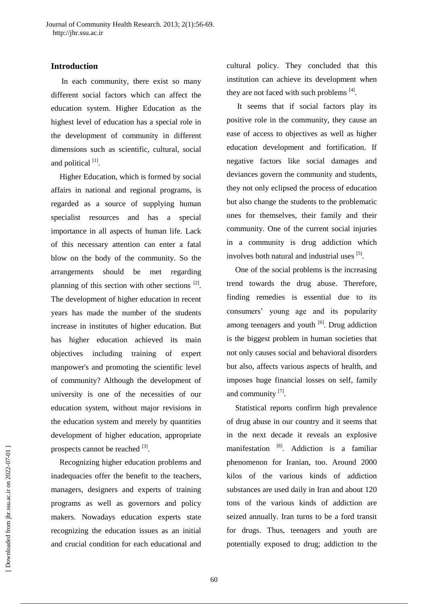# **Introduction**

In each community, there exist so many different social factors which can affect the education system. Higher Education as the highest level of education has a special role in the development of community in different dimensions such as scientific, cultural, social and political <sup>[1]</sup>.

Higher Education, which is formed by social affairs in national and regional programs, is regarded as a source of supplying human specialist resources and has a special importance in all aspects of human life. Lack of this necessary attention can enter a fatal blow on the body of the community. So the arrangements should be met regarding planning of this section with other sections <sup>[2]</sup>. The development of higher education in recent years has made the number of the students increase in institutes of higher education. But has higher education achieved its main objectives including training of expert manpower's and promoting the scientific level of community? Although the development of university is one of the necessities of our education system, without major revisions in the education system and merely by quantities development of higher education, appropriate prospects cannot be reached  $^{[3]}$ .

Recognizing higher education problems and inadequacies offer the benefit to the teachers, managers, designers and experts of training programs as well as governors and policy makers. Nowadays education experts state recognizing the education issues as an initial and crucial condition for each educational and

cultural policy. They concluded that this institution can achieve its development when they are not faced with such problems  $^{[4]}$ .

It seems that if social factors play its positive role in the community, they cause an ease of access to objectives as well as higher education development and fortification. If negative factors like social damages and deviances govern the community and students, they not only eclipsed the process of education but also change the students to the problematic ones for themselves, their family and their community. One of the current social injuries in a community is drug addiction which involves both natural and industrial uses [5].

One of the social problems is the increasing trend towards the drug abuse. Therefore, finding remedies is essential due to its consumers' young age and its popularity among teenagers and youth  $\left[6\right]$ . Drug addiction is the biggest problem in human societies that not only causes social and behavioral disorders but also, affects various aspects of health, and imposes huge financial losses on self, family and community [7].

Statistical reports confirm high prevalence of drug abuse in our country and it seems that in the next decade it reveals an explosive manifestation [8]. Addiction is a familiar phenomenon for Iranian, too. Around 2000 kilos of the various kinds of addiction substances are used daily in Iran and about 120 tons of the various kinds of addiction are seized annually. Iran turns to be a ford transit for drugs. Thus, teenagers and youth are potentially exposed to drug; addiction to the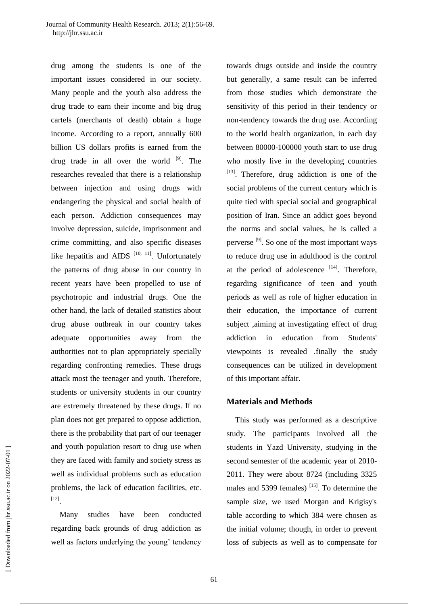drug among the students is one of the important issues considered in our society. Many people and the youth also address the drug trade to earn their income and big drug cartels (merchants of death) obtain a huge income. According to a report, annually 600 billion US dollars profits is earned from the drug trade in all over the world  $[9]$ . The researches revealed that there is a relationship between injection and using drugs with endangering the physical and social health of each person. Addiction consequences may involve depression, suicide, imprisonment and crime committing, and also specific diseases like hepatitis and AIDS  $[10, 11]$ . Unfortunately the patterns of drug abuse in our country in recent years have been propelled to use of psychotropic and industrial drugs. One the other hand, the lack of detailed statistics about drug abuse outbreak in our country takes adequate opportunities away from the authorities not to plan appropriately specially regarding confronting remedies. These drugs attack most the teenager and youth. Therefore, students or university students in our country are extremely threatened by these drugs. If no plan does not get prepared to oppose addiction, there is the probability that part of our teenager and youth population resort to drug use when they are faced with family and society stress as well as individual problems such as education problems, the lack of education facilities, etc. [12] .

Many studies have been conducted regarding back grounds of drug addiction as well as factors underlying the young' tendency towards drugs outside and inside the country but generally, a same result can be inferred from those studies which demonstrate the sensitivity of this period in their tendency or non-tendency towards the drug use. According to the world health organization, in each day between 80000-100000 youth start to use drug who mostly live in the developing countries [13]. Therefore, drug addiction is one of the social problems of the current century which is quite tied with special social and geographical position of Iran. Since an addict goes beyond the norms and social values, he is called a perverse <sup>[9]</sup>. So one of the most important ways to reduce drug use in adulthood is the control at the period of adolescence  $[14]$ . Therefore, regarding significance of teen and youth periods as well as role of higher education in their education, the importance of current subject ,aiming at investigating effect of drug addiction in education from Students' viewpoints is revealed .finally the study consequences can be utilized in development of this important affair.

#### **Materials and Methods**

This study was performed as a descriptive study. The participants involved all the students in Yazd University, studying in the second semester of the academic year of 2010- 2011. They were about 8724 (including 3325 males and 5399 females)  $^{[15]}$ . To determine the sample size, we used Morgan and Krigisy's table according to which 384 were chosen as the initial volume; though, in order to prevent loss of subjects as well as to compensate for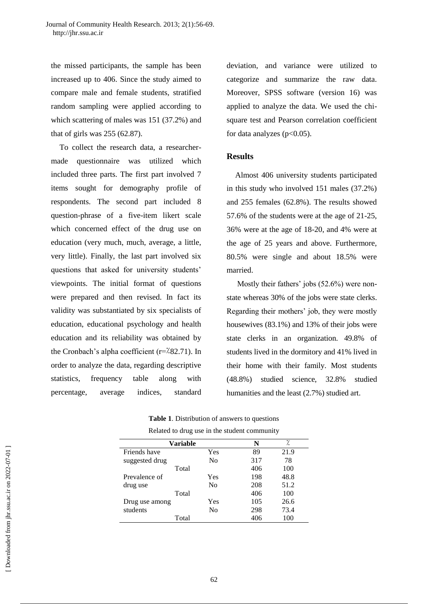the missed participants, the sample has been increased up to 406. Since the study aimed to compare male and female students, stratified random sampling were applied according to which scattering of males was 151 (37.2%) and that of girls was 255 (62.87).

To collect the research data, a researchermade questionnaire was utilized which included three parts. The first part involved 7 items sought for demography profile of respondents. The second part included 8 question-phrase of a five-item likert scale which concerned effect of the drug use on education (very much, much, average, a little, very little). Finally, the last part involved six questions that asked for university students' viewpoints. The initial format of questions were prepared and then revised. In fact its validity was substantiated by six specialists of education, educational psychology and health education and its reliability was obtained by the Cronbach's alpha coefficient (r=٪82.71). In order to analyze the data, regarding descriptive statistics, frequency table along with percentage, average indices, standard

deviation, and variance were utilized to categorize and summarize the raw data. Moreover, SPSS software (version 16) was applied to analyze the data. We used the chisquare test and Pearson correlation coefficient for data analyzes  $(p<0.05)$ .

# **Results**

Almost 406 university students participated in this study who involved 151 males (37.2%) and 255 females (62.8%). The results showed 57.6% of the students were at the age of 21-25, 36% were at the age of 18-20, and 4% were at the age of 25 years and above. Furthermore, 80.5% were single and about 18.5% were married.

Mostly their fathers' jobs (52.6%) were nonstate whereas 30% of the jobs were state clerks. Regarding their mothers' job, they were mostly housewives (83.1%) and 13% of their jobs were state clerks in an organization. 49.8% of students lived in the dormitory and 41% lived in their home with their family. Most students (48.8%) studied science, 32.8% studied humanities and the least (2.7%) studied art.

| <b>Table 1.</b> Distribution of answers to questions |
|------------------------------------------------------|
| Related to drug use in the student community         |

| <b>Variable</b> |                | N   | ٪    |
|-----------------|----------------|-----|------|
| Friends have    | Yes            | 89  | 21.9 |
| suggested drug  | N <sub>0</sub> | 317 | 78   |
| Total           |                | 406 | 100  |
| Prevalence of   | <b>Yes</b>     | 198 | 48.8 |
| drug use        | N <sub>0</sub> | 208 | 51.2 |
| Total           |                | 406 | 100  |
| Drug use among  | Yes            | 105 | 26.6 |
| students        | No             | 298 | 73.4 |
| Total           |                | 406 | 100  |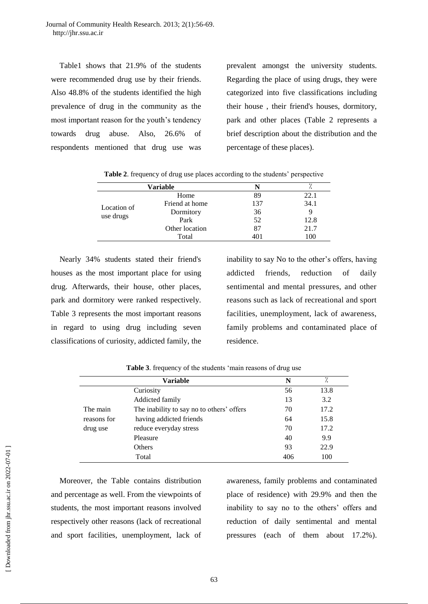Table1 shows that 21.9% of the students were recommended drug use by their friends. Also 48.8% of the students identified the high prevalence of drug in the community as the most important reason for the youth's tendency towards drug abuse. Also, 26.6% of respondents mentioned that drug use was

prevalent amongst the university students. Regarding the place of using drugs, they were categorized into five classifications including their house , their friend's houses, dormitory, park and other places (Table 2 represents a brief description about the distribution and the percentage of these places).

|                          | Variable       | N   |      |  |  |
|--------------------------|----------------|-----|------|--|--|
|                          | Home           | 89  | 22.1 |  |  |
| Location of<br>use drugs | Friend at home | 137 | 34.1 |  |  |
|                          | Dormitory      | 36  |      |  |  |
|                          | Park           | 52  | 12.8 |  |  |
|                          | Other location | 87  | 21.7 |  |  |
|                          | Total          | 401 | 100  |  |  |

**Table 2.** frequency of drug use places according to the students' perspective

Nearly 34% students stated their friend's houses as the most important place for using drug. Afterwards, their house, other places, park and dormitory were ranked respectively. Table 3 represents the most important reasons in regard to using drug including seven classifications of curiosity, addicted family, the inability to say No to the other's offers, having addicted friends, reduction of daily sentimental and mental pressures, and other reasons such as lack of recreational and sport facilities, unemployment, lack of awareness, family problems and contaminated place of residence.

|             | <b>Variable</b>                           | N   | .,   |
|-------------|-------------------------------------------|-----|------|
|             | Curiosity                                 | 56  | 13.8 |
|             | Addicted family                           | 13  | 3.2  |
| The main    | The inability to say no to others' offers | 70  | 17.2 |
| reasons for | having addicted friends                   | 64  | 15.8 |
| drug use    | reduce everyday stress                    | 70  | 17.2 |
|             | Pleasure                                  | 40  | 9.9  |
|             | Others                                    | 93  | 22.9 |
|             | Total                                     | 406 | 100  |

**Table 3**. frequency of the students 'main reasons of drug use

Moreover, the Table contains distribution and percentage as well. From the viewpoints of students, the most important reasons involved respectively other reasons (lack of recreational and sport facilities, unemployment, lack of

awareness, family problems and contaminated place of residence) with 29.9% and then the inability to say no to the others' offers and reduction of daily sentimental and mental pressures (each of them about 17.2%).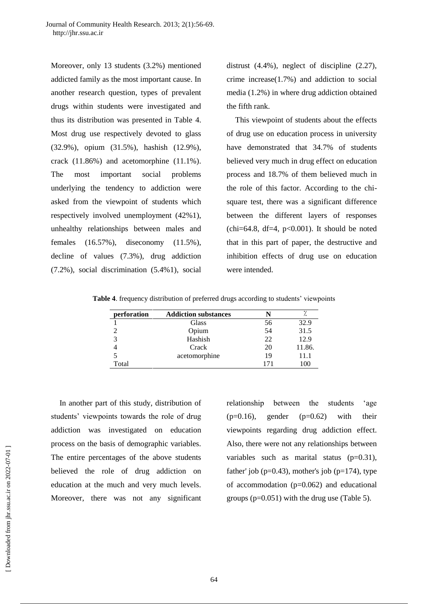Moreover, only 13 students (3.2%) mentioned addicted family as the most important cause. In another research question, types of prevalent drugs within students were investigated and thus its distribution was presented in Table 4. Most drug use respectively devoted to glass (32.9%), opium (31.5%), hashish (12.9%), crack (11.86%) and acetomorphine (11.1%). The most important social problems underlying the tendency to addiction were asked from the viewpoint of students which respectively involved unemployment (42%1), unhealthy relationships between males and females (16.57%), diseconomy (11.5%), decline of values (7.3%), drug addiction (7.2%), social discrimination (5.4%1), social

distrust (4.4%), neglect of discipline (2.27), crime increase(1.7%) and addiction to social media (1.2%) in where drug addiction obtained the fifth rank.

This viewpoint of students about the effects of drug use on education process in university have demonstrated that 34.7% of students believed very much in drug effect on education process and 18.7% of them believed much in the role of this factor. According to the chisquare test, there was a significant difference between the different layers of responses  $chi=64.8$ , df=4, p<0.001). It should be noted that in this part of paper, the destructive and inhibition effects of drug use on education were intended.

**Table 4**. frequency distribution of preferred drugs according to students' viewpoints

| perforation | <b>Addiction substances</b> |     |        |
|-------------|-----------------------------|-----|--------|
|             | Glass                       | 56  | 32.9   |
|             | Opium                       | 54  | 31.5   |
| 3           | Hashish                     | 22  | 12.9   |
|             | Crack                       | 20  | 11.86. |
|             | acetomorphine               | 19  | 11.1   |
| Total       |                             | 171 | 100    |

In another part of this study, distribution of students' viewpoints towards the role of drug addiction was investigated on education process on the basis of demographic variables. The entire percentages of the above students believed the role of drug addiction on education at the much and very much levels. Moreover, there was not any significant

relationship between the students 'age  $(p=0.16)$ , gender  $(p=0.62)$  with their viewpoints regarding drug addiction effect. Also, there were not any relationships between variables such as marital status  $(p=0.31)$ , father' job ( $p=0.43$ ), mother's job ( $p=174$ ), type of accommodation  $(p=0.062)$  and educational groups (p=0.051) with the drug use (Table 5).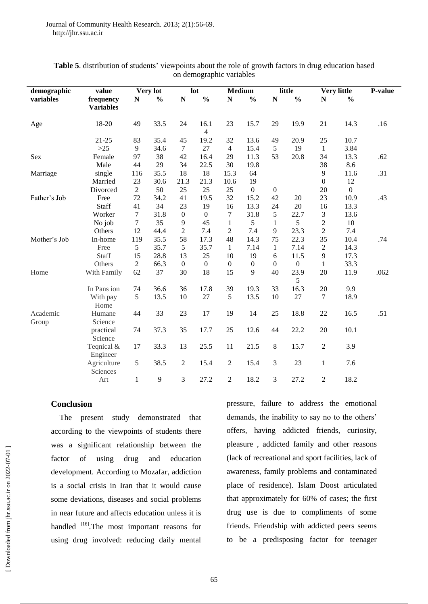| demographic       | value                         |                | Very lot       |                    | lot                    | <b>Medium</b>    |                  |                    | little           |                  | <b>Very little</b> | P-value |
|-------------------|-------------------------------|----------------|----------------|--------------------|------------------------|------------------|------------------|--------------------|------------------|------------------|--------------------|---------|
| variables         | frequency<br><b>Variables</b> | ${\bf N}$      | $\frac{0}{0}$  | $\overline{\bf N}$ | $\frac{0}{0}$          | ${\bf N}$        | $\frac{0}{0}$    | $\overline{\bf N}$ | $\frac{0}{0}$    | N                | $\frac{0}{0}$      |         |
| Age               | 18-20                         | 49             | 33.5           | 24                 | 16.1<br>$\overline{4}$ | 23               | 15.7             | 29                 | 19.9             | 21               | 14.3               | .16     |
|                   | $21 - 25$                     | 83             | 35.4           | 45                 | 19.2                   | 32               | 13.6             | 49                 | 20.9             | 25               | 10.7               |         |
|                   | $>25$                         | 9              | 34.6           | $\tau$             | 27                     | $\overline{4}$   | 15.4             | 5                  | 19               | $\mathbf{1}$     | 3.84               |         |
| Sex               | Female                        | 97             | 38             | 42                 | 16.4                   | 29               | 11.3             | 53                 | 20.8             | 34               | 13.3               | .62     |
|                   | Male                          | 44             | 29             | 34                 | 22.5                   | 30               | 19.8             |                    |                  | 38               | 8.6                |         |
| Marriage          | single                        | 116            | 35.5           | 18                 | 18                     | 15.3             | 64               |                    |                  | 9                | 11.6               | .31     |
|                   | Married                       | 23             | 30.6           | 21.3               | 21.3                   | 10.6             | 19               |                    |                  | $\mathbf{0}$     | 12                 |         |
|                   | Divorced                      | $\overline{2}$ | 50             | 25                 | 25                     | 25               | $\mathbf{0}$     | $\mathbf{0}$       |                  | 20               | $\boldsymbol{0}$   |         |
| Father's Job      | Free                          | 72             | 34.2           | 41                 | 19.5                   | 32               | 15.2             | 42                 | 20               | 23               | 10.9               | .43     |
|                   | <b>Staff</b>                  | 41             | 34             | 23                 | 19                     | 16               | 13.3             | 24                 | 20               | 16               | 13.3               |         |
|                   | Worker                        | $\tau$         | 31.8           | $\mathbf{0}$       | $\theta$               | $\tau$           | 31.8             | 5                  | 22.7             | 3                | 13.6               |         |
|                   | No job                        | $\tau$         | 35             | 9                  | 45                     | $\mathbf{1}$     | 5                | 1                  | 5                | $\overline{2}$   | 10                 |         |
|                   | Others                        | 12             | 44.4           | $\overline{2}$     | 7.4                    | $\overline{c}$   | 7.4              | 9                  | 23.3             | $\overline{2}$   | 7.4                |         |
| Mother's Job      | In-home                       | 119            | 35.5           | 58                 | 17.3                   | 48               | 14.3             | 75                 | 22.3             | 35               | 10.4               | .74     |
|                   | Free                          | 5              | 35.7           | 5                  | 35.7                   | $\mathbf{1}$     | 7.14             | $\mathbf{1}$       | 7.14             | $\overline{2}$   | 14.3               |         |
|                   | <b>Staff</b>                  | 15             | 28.8           | 13                 | 25                     | 10               | 19               | 6                  | 11.5             | 9                | 17.3               |         |
|                   | Others                        | $\overline{2}$ | 66.3           | $\boldsymbol{0}$   | $\boldsymbol{0}$       | $\boldsymbol{0}$ | $\boldsymbol{0}$ | $\mathbf{0}$       | $\boldsymbol{0}$ | $\mathbf{1}$     | 33.3               |         |
| Home              | With Family                   | 62             | 37             | 30                 | 18                     | 15               | 9                | 40                 | 23.9<br>5        | 20               | 11.9               | .062    |
|                   | In Pans ion                   | 74             | 36.6           | 36                 | 17.8                   | 39               | 19.3             | 33                 | 16.3             | 20               | 9.9                |         |
|                   | With pay<br>Home              | 5              | 13.5           | 10                 | 27                     | 5                | 13.5             | 10                 | $27\,$           | $\boldsymbol{7}$ | 18.9               |         |
| Academic<br>Group | Humane<br>Science             | 44             | 33             | 23                 | 17                     | 19               | 14               | 25                 | 18.8             | 22               | 16.5               | .51     |
|                   | practical<br>Science          | 74             | 37.3           | 35                 | 17.7                   | 25               | 12.6             | 44                 | 22.2             | $20\,$           | 10.1               |         |
|                   | Teqnical &<br>Engineer        | 17             | 33.3           | 13                 | 25.5                   | 11               | 21.5             | $\,8\,$            | 15.7             | $\sqrt{2}$       | 3.9                |         |
|                   | Agriculture<br>Sciences       | 5              | 38.5           | $\overline{2}$     | 15.4                   | $\mathfrak{2}$   | 15.4             | 3                  | 23               | $\mathbf{1}$     | 7.6                |         |
|                   | Art                           | $\mathbf{1}$   | $\overline{9}$ | 3                  | 27.2                   | $\overline{2}$   | 18.2             | 3                  | 27.2             | $\overline{2}$   | 18.2               |         |

# **Table 5**. distribution of students' viewpoints about the role of growth factors in drug education based on demographic variables

# **Conclusion**

The present study demonstrated that according to the viewpoints of students there was a significant relationship between the factor of using drug and education development. According to Mozafar, addiction is a social crisis in Iran that it would cause some deviations, diseases and social problems in near future and affects education unless it is handled <sup>[16]</sup>.The most important reasons for using drug involved: reducing daily mental pressure, failure to address the emotional demands, the inability to say no to the others' offers, having addicted friends, curiosity, pleasure , addicted family and other reasons (lack of recreational and sport facilities, lack of awareness, family problems and contaminated place of residence). Islam Doost articulated that approximately for 60% of cases; the first drug use is due to compliments of some friends. Friendship with addicted peers seems to be a predisposing factor for teenager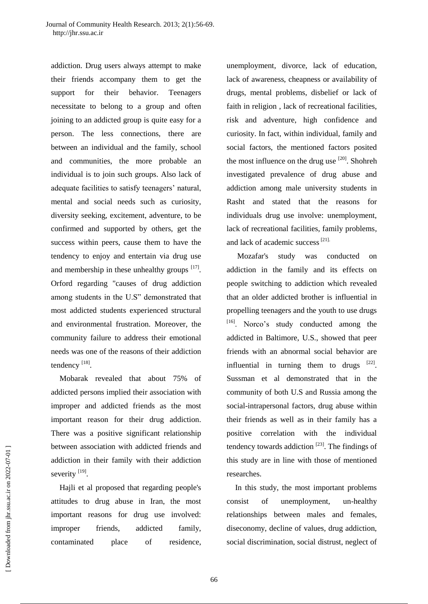addiction. Drug users always attempt to make their friends accompany them to get the support for their behavior. Teenagers necessitate to belong to a group and often joining to an addicted group is quite easy for a person. The less connections, there are between an individual and the family, school and communities, the more probable an individual is to join such groups. Also lack of adequate facilities to satisfy teenagers' natural, mental and social needs such as curiosity, diversity seeking, excitement, adventure, to be confirmed and supported by others, get the success within peers, cause them to have the tendency to enjoy and entertain via drug use and membership in these unhealthy groups  $[17]$ . Orford regarding "causes of drug addiction among students in the U.S" demonstrated that most addicted students experienced structural and environmental frustration. Moreover, the community failure to address their emotional needs was one of the reasons of their addiction tendency  $^{[18]}$ .

Mobarak revealed that about 75% of addicted persons implied their association with improper and addicted friends as the most important reason for their drug addiction. There was a positive significant relationship between association with addicted friends and addiction in their family with their addiction severity [19].

Hajli et al proposed that regarding people's attitudes to drug abuse in Iran, the most important reasons for drug use involved: improper friends, addicted family, contaminated place of residence, unemployment, divorce, lack of education, lack of awareness, cheapness or availability of drugs, mental problems, disbelief or lack of faith in religion , lack of recreational facilities, risk and adventure, high confidence and curiosity. In fact, within individual, family and social factors, the mentioned factors posited the most influence on the drug use  $[20]$ . Shohreh investigated prevalence of drug abuse and addiction among male university students in Rasht and stated that the reasons for individuals drug use involve: unemployment, lack of recreational facilities, family problems, and lack of academic success<sup>[21].</sup>

Mozafar's study was conducted on addiction in the family and its effects on people switching to addiction which revealed that an older addicted brother is influential in propelling teenagers and the youth to use drugs [16]. Norco's study conducted among the addicted in Baltimore, U.S., showed that peer friends with an abnormal social behavior are influential in turning them to drugs  $[22]$ . Sussman et al demonstrated that in the community of both U.S and Russia among the social-intrapersonal factors, drug abuse within their friends as well as in their family has a positive correlation with the individual tendency towards addiction  $^{[23]}$ . The findings of this study are in line with those of mentioned researches.

In this study, the most important problems consist of unemployment, un-healthy relationships between males and females, diseconomy, decline of values, drug addiction, social discrimination, social distrust, neglect of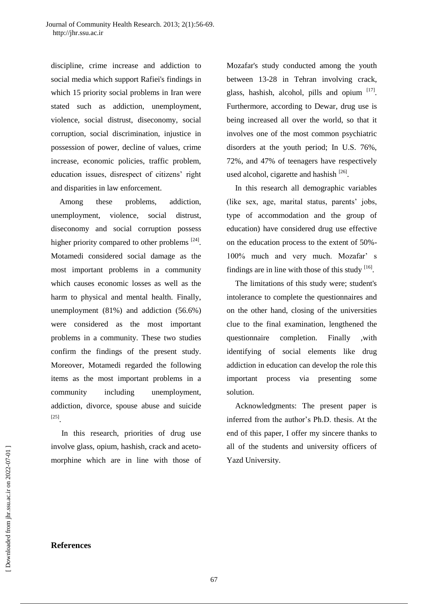discipline, crime increase and addiction to social media which support Rafiei's findings in which 15 priority social problems in Iran were stated such as addiction, unemployment, violence, social distrust, diseconomy, social corruption, social discrimination, injustice in possession of power, decline of values, crime increase, economic policies, traffic problem, education issues, disrespect of citizens' right and disparities in law enforcement.

Among these problems, addiction, unemployment, violence, social distrust, diseconomy and social corruption possess higher priority compared to other problems  $^{[24]}$ . Motamedi considered social damage as the most important problems in a community which causes economic losses as well as the harm to physical and mental health. Finally, unemployment (81%) and addiction (56.6%) were considered as the most important problems in a community. These two studies confirm the findings of the present study. Moreover, Motamedi regarded the following items as the most important problems in a community including unemployment, addiction, divorce, spouse abuse and suicide [25] .

In this research, priorities of drug use involve glass, opium, hashish, crack and acetomorphine which are in line with those of Mozafar's study conducted among the youth between 13-28 in Tehran involving crack, glass, hashish, alcohol, pills and opium  $[17]$ . Furthermore, according to Dewar, drug use is being increased all over the world, so that it involves one of the most common psychiatric disorders at the youth period; In U.S. 76%, 72%, and 47% of teenagers have respectively used alcohol, cigarette and hashish [26].

In this research all demographic variables (like sex, age, marital status, parents' jobs, type of accommodation and the group of education) have considered drug use effective on the education process to the extent of 50%- 100% much and very much. Mozafar' s findings are in line with those of this study  $[16]$ .

The limitations of this study were; student's intolerance to complete the questionnaires and on the other hand, closing of the universities clue to the final examination, lengthened the questionnaire completion. Finally ,with identifying of social elements like drug addiction in education can develop the role this important process via presenting some solution.

Acknowledgments: The present paper is inferred from the author's Ph.D. thesis. At the end of this paper, I offer my sincere thanks to all of the students and university officers of Yazd University.

#### **References**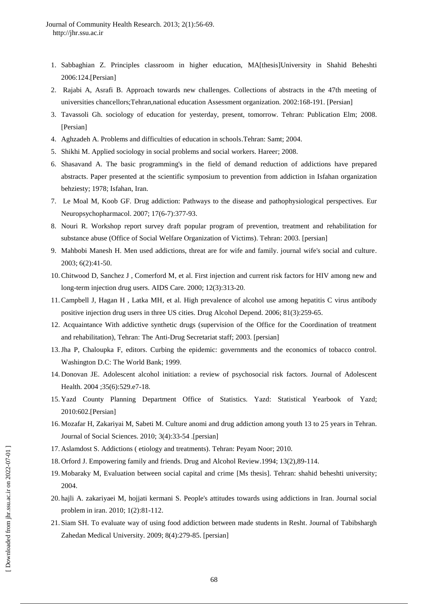- 1. Sabbaghian Z. Principles classroom in higher education, MA[thesis]University in Shahid Beheshti 2006:124.[Persian]
- 2. Rajabi A, Asrafi B. Approach towards new challenges. Collections of abstracts in the 47th meeting of universities chancellors;Tehran,national education Assessment organization. 2002:168-191. [Persian]
- 3. Tavassoli Gh. sociology of education for yesterday, present, tomorrow. Tehran: Publication Elm; 2008. [Persian]
- 4. Aghzadeh A. Problems and difficulties of education in schools.Tehran: Samt; 2004.
- 5. Shikhi M. Applied sociology in social problems and social workers. Hareer; 2008.
- 6. Shasavand A. The basic programming's in the field of demand reduction of addictions have prepared abstracts. Paper presented at the scientific symposium to prevention from addiction in Isfahan organization behziesty; 1978; Isfahan, Iran.
- 7. Le Moal M, Koob GF. Drug addiction: Pathways to the disease and pathophysiological perspectives. [Eur](http://www.ncbi.nlm.nih.gov/pubmed/17169534)  [Neuropsychopharmacol.](http://www.ncbi.nlm.nih.gov/pubmed/17169534) 2007; 17(6-7):377-93.
- 8. Nouri R. Workshop report survey draft popular program of prevention, treatment and rehabilitation for substance abuse (Office of Social Welfare Organization of Victims). Tehran: 2003. [persian]
- 9. Mahbobi Manesh H. Men used addictions, threat are for wife and family. journal wife's social and culture. 2003; 6(2):41-50.
- 10.Chitwood D, Sanchez J , Comerford M, et al. First injection and current risk factors for HIV among new and long-term injection drug users. [AIDS Care.](http://www.ncbi.nlm.nih.gov/pubmed/10928209) 2000; 12(3):313-20.
- 11.Campbell J, Hagan H , Latka MH, et al. High prevalence of alcohol use among hepatitis C virus antibody positive injection drug users in three US cities. [Drug Alcohol Depend.](http://www.ncbi.nlm.nih.gov/pubmed/16129567) 2006; 81(3):259-65.
- 12. Acquaintance With addictive synthetic drugs (supervision of the Office for the Coordination of treatment and rehabilitation), Tehran: The Anti-Drug Secretariat staff; 2003. [persian]
- 13.Jha P, Chaloupka F, editors. Curbing the epidemic: governments and the economics of tobacco control. Washington D.C: The World Bank; 1999.
- 14. Donovan JE. Adolescent alcohol initiation: a review of psychosocial risk factors. Journal of Adolescent Health. 2004 ;35(6):529.e7-18.
- 15. Yazd County Planning Department Office of Statistics. Yazd: Statistical Yearbook of Yazd; 2010:602.[Persian]
- 16. Mozafar H, Zakariyai M, Sabeti M. Culture anomi and drug addiction among youth 13 to 25 years in Tehran. Journal of Social Sciences. 2010; 3(4):33-54 .[persian]
- 17. Aslamdost S. Addictions ( etiology and treatments). Tehran: Peyam Noor; 2010.
- 18. Orford J. Empowering family and friends. Drug and Alcohol Review.1994; 13(2),89-114.
- 19. Mobaraky M, Evaluation between social capital and crime [Ms thesis]. Tehran: shahid beheshti university; 2004.
- 20. hajli A. zakariyaei M, hojjati kermani S. People's attitudes towards using addictions in Iran. Journal social problem in iran. 2010; 1(2):81-112.
- 21. Siam SH. To evaluate way of using food addiction between made students in Resht. Journal of Tabibshargh Zahedan Medical University. 2009; 8(4):279-85. [persian]